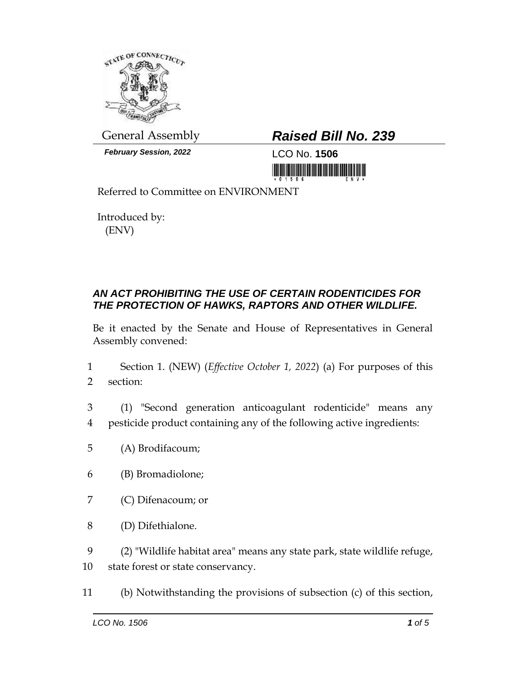

*February Session, 2022* LCO No. **1506**

## General Assembly *Raised Bill No. 239*

<u> III di kacamatan ing Kabupatèn III di Kabupatèn III di Kabupatèn III di Kabupatèn III di Kabupatèn III di Kabu</u>

Referred to Committee on ENVIRONMENT

Introduced by: (ENV)

## *AN ACT PROHIBITING THE USE OF CERTAIN RODENTICIDES FOR THE PROTECTION OF HAWKS, RAPTORS AND OTHER WILDLIFE.*

Be it enacted by the Senate and House of Representatives in General Assembly convened:

- 1 Section 1. (NEW) (*Effective October 1, 2022*) (a) For purposes of this 2 section:
- 3 (1) "Second generation anticoagulant rodenticide" means any 4 pesticide product containing any of the following active ingredients:
- 5 (A) Brodifacoum;
- 6 (B) Bromadiolone;
- 7 (C) Difenacoum; or
- 8 (D) Difethialone.
- 9 (2) "Wildlife habitat area" means any state park, state wildlife refuge,
- 10 state forest or state conservancy.
- 11 (b) Notwithstanding the provisions of subsection (c) of this section,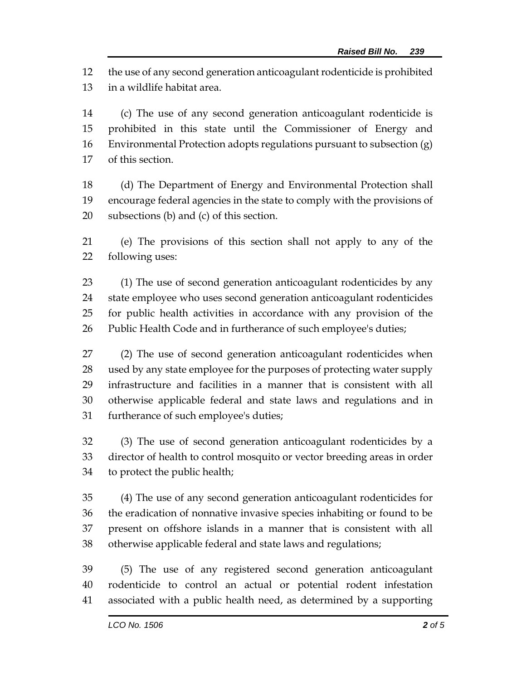the use of any second generation anticoagulant rodenticide is prohibited in a wildlife habitat area.

 (c) The use of any second generation anticoagulant rodenticide is prohibited in this state until the Commissioner of Energy and Environmental Protection adopts regulations pursuant to subsection (g) of this section.

 (d) The Department of Energy and Environmental Protection shall encourage federal agencies in the state to comply with the provisions of subsections (b) and (c) of this section.

 (e) The provisions of this section shall not apply to any of the following uses:

 (1) The use of second generation anticoagulant rodenticides by any state employee who uses second generation anticoagulant rodenticides for public health activities in accordance with any provision of the Public Health Code and in furtherance of such employee's duties;

 (2) The use of second generation anticoagulant rodenticides when used by any state employee for the purposes of protecting water supply infrastructure and facilities in a manner that is consistent with all otherwise applicable federal and state laws and regulations and in furtherance of such employee's duties;

 (3) The use of second generation anticoagulant rodenticides by a director of health to control mosquito or vector breeding areas in order to protect the public health;

 (4) The use of any second generation anticoagulant rodenticides for the eradication of nonnative invasive species inhabiting or found to be present on offshore islands in a manner that is consistent with all otherwise applicable federal and state laws and regulations;

 (5) The use of any registered second generation anticoagulant rodenticide to control an actual or potential rodent infestation associated with a public health need, as determined by a supporting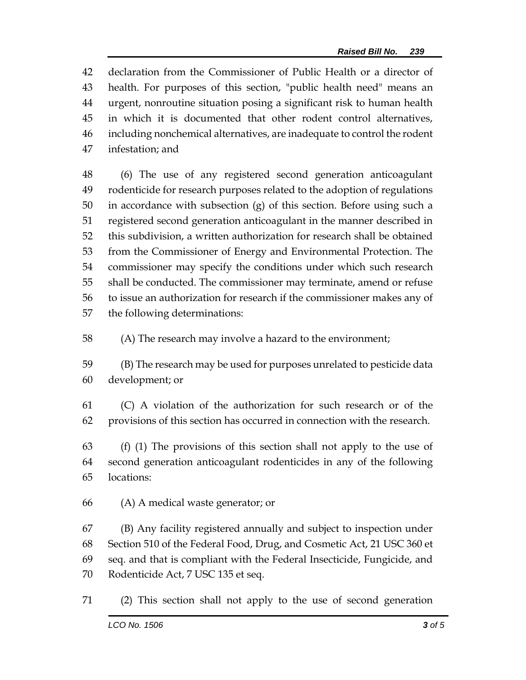declaration from the Commissioner of Public Health or a director of health. For purposes of this section, "public health need" means an urgent, nonroutine situation posing a significant risk to human health in which it is documented that other rodent control alternatives, including nonchemical alternatives, are inadequate to control the rodent infestation; and

 (6) The use of any registered second generation anticoagulant rodenticide for research purposes related to the adoption of regulations in accordance with subsection (g) of this section. Before using such a registered second generation anticoagulant in the manner described in this subdivision, a written authorization for research shall be obtained from the Commissioner of Energy and Environmental Protection. The commissioner may specify the conditions under which such research shall be conducted. The commissioner may terminate, amend or refuse to issue an authorization for research if the commissioner makes any of the following determinations:

(A) The research may involve a hazard to the environment;

 (B) The research may be used for purposes unrelated to pesticide data development; or

 (C) A violation of the authorization for such research or of the provisions of this section has occurred in connection with the research.

 (f) (1) The provisions of this section shall not apply to the use of second generation anticoagulant rodenticides in any of the following locations:

(A) A medical waste generator; or

 (B) Any facility registered annually and subject to inspection under Section 510 of the Federal Food, Drug, and Cosmetic Act, 21 USC 360 et seq. and that is compliant with the Federal Insecticide, Fungicide, and Rodenticide Act, 7 USC 135 et seq.

(2) This section shall not apply to the use of second generation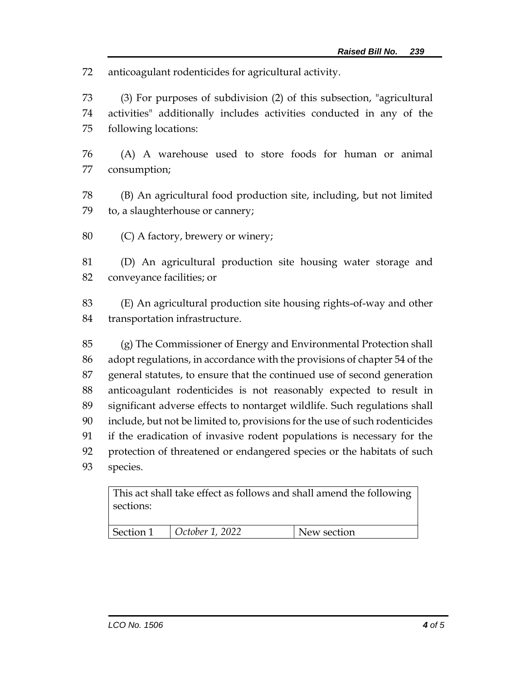anticoagulant rodenticides for agricultural activity.

 (3) For purposes of subdivision (2) of this subsection, "agricultural activities" additionally includes activities conducted in any of the following locations:

- (A) A warehouse used to store foods for human or animal consumption;
- (B) An agricultural food production site, including, but not limited to, a slaughterhouse or cannery;
- (C) A factory, brewery or winery;

 (D) An agricultural production site housing water storage and conveyance facilities; or

 (E) An agricultural production site housing rights-of-way and other transportation infrastructure.

 (g) The Commissioner of Energy and Environmental Protection shall adopt regulations, in accordance with the provisions of chapter 54 of the general statutes, to ensure that the continued use of second generation anticoagulant rodenticides is not reasonably expected to result in significant adverse effects to nontarget wildlife. Such regulations shall include, but not be limited to, provisions for the use of such rodenticides if the eradication of invasive rodent populations is necessary for the protection of threatened or endangered species or the habitats of such species.

This act shall take effect as follows and shall amend the following sections:

| Section 1 | $\vert$ October 1, 2022 | New section |
|-----------|-------------------------|-------------|